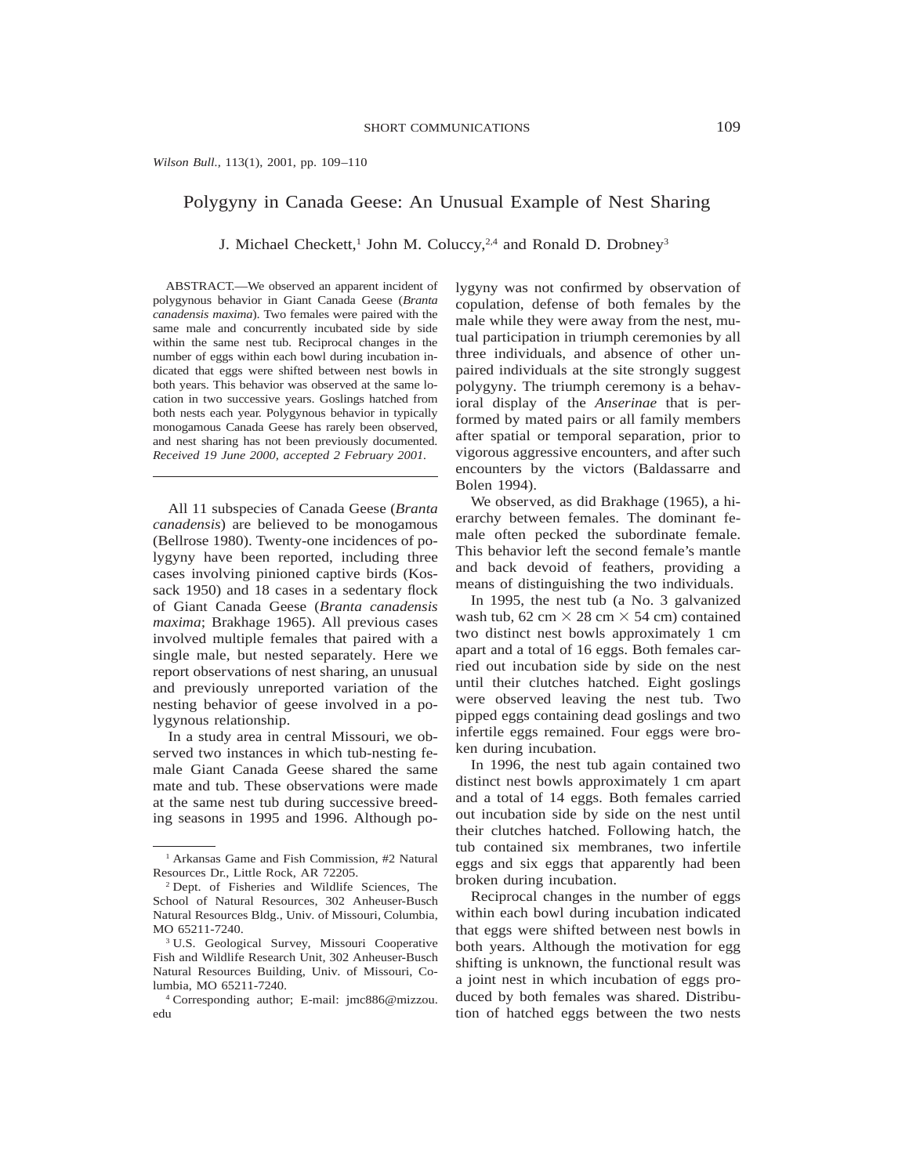### *Wilson Bull.,* 113(1), 2001, pp. 109–110

## Polygyny in Canada Geese: An Unusual Example of Nest Sharing

J. Michael Checkett,<sup>1</sup> John M. Coluccy,<sup>2,4</sup> and Ronald D. Drobney<sup>3</sup>

ABSTRACT.—We observed an apparent incident of polygynous behavior in Giant Canada Geese (*Branta canadensis maxima*). Two females were paired with the same male and concurrently incubated side by side within the same nest tub. Reciprocal changes in the number of eggs within each bowl during incubation indicated that eggs were shifted between nest bowls in both years. This behavior was observed at the same location in two successive years. Goslings hatched from both nests each year. Polygynous behavior in typically monogamous Canada Geese has rarely been observed, and nest sharing has not been previously documented. *Received 19 June 2000, accepted 2 February 2001.*

All 11 subspecies of Canada Geese (*Branta canadensis*) are believed to be monogamous (Bellrose 1980). Twenty-one incidences of polygyny have been reported, including three cases involving pinioned captive birds (Kossack 1950) and 18 cases in a sedentary flock of Giant Canada Geese (*Branta canadensis maxima*; Brakhage 1965). All previous cases involved multiple females that paired with a single male, but nested separately. Here we report observations of nest sharing, an unusual and previously unreported variation of the nesting behavior of geese involved in a polygynous relationship.

In a study area in central Missouri, we observed two instances in which tub-nesting female Giant Canada Geese shared the same mate and tub. These observations were made at the same nest tub during successive breeding seasons in 1995 and 1996. Although polygyny was not confirmed by observation of copulation, defense of both females by the male while they were away from the nest, mutual participation in triumph ceremonies by all three individuals, and absence of other unpaired individuals at the site strongly suggest polygyny. The triumph ceremony is a behavioral display of the *Anserinae* that is performed by mated pairs or all family members after spatial or temporal separation, prior to vigorous aggressive encounters, and after such encounters by the victors (Baldassarre and Bolen 1994).

We observed, as did Brakhage (1965), a hierarchy between females. The dominant female often pecked the subordinate female. This behavior left the second female's mantle and back devoid of feathers, providing a means of distinguishing the two individuals.

In 1995, the nest tub (a No. 3 galvanized wash tub, 62 cm  $\times$  28 cm  $\times$  54 cm) contained two distinct nest bowls approximately 1 cm apart and a total of 16 eggs. Both females carried out incubation side by side on the nest until their clutches hatched. Eight goslings were observed leaving the nest tub. Two pipped eggs containing dead goslings and two infertile eggs remained. Four eggs were broken during incubation.

In 1996, the nest tub again contained two distinct nest bowls approximately 1 cm apart and a total of 14 eggs. Both females carried out incubation side by side on the nest until their clutches hatched. Following hatch, the tub contained six membranes, two infertile eggs and six eggs that apparently had been broken during incubation.

Reciprocal changes in the number of eggs within each bowl during incubation indicated that eggs were shifted between nest bowls in both years. Although the motivation for egg shifting is unknown, the functional result was a joint nest in which incubation of eggs produced by both females was shared. Distribution of hatched eggs between the two nests

<sup>1</sup> Arkansas Game and Fish Commission, #2 Natural Resources Dr., Little Rock, AR 72205.

<sup>2</sup> Dept. of Fisheries and Wildlife Sciences, The School of Natural Resources, 302 Anheuser-Busch Natural Resources Bldg., Univ. of Missouri, Columbia, MO 65211-7240.

<sup>3</sup> U.S. Geological Survey, Missouri Cooperative Fish and Wildlife Research Unit, 302 Anheuser-Busch Natural Resources Building, Univ. of Missouri, Columbia, MO 65211-7240.

<sup>4</sup> Corresponding author; E-mail: jmc886@mizzou. edu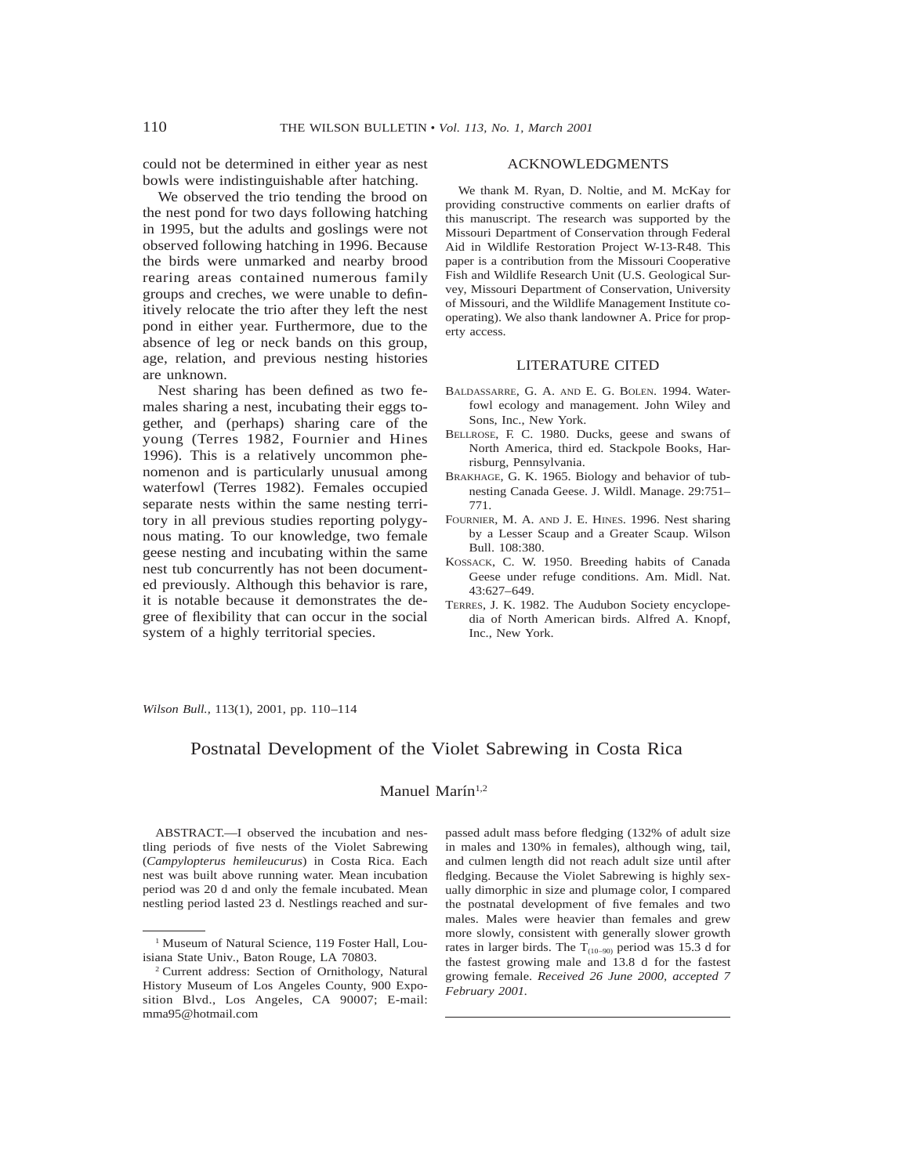could not be determined in either year as nest bowls were indistinguishable after hatching.

We observed the trio tending the brood on the nest pond for two days following hatching in 1995, but the adults and goslings were not observed following hatching in 1996. Because the birds were unmarked and nearby brood rearing areas contained numerous family groups and creches, we were unable to definitively relocate the trio after they left the nest pond in either year. Furthermore, due to the absence of leg or neck bands on this group, age, relation, and previous nesting histories are unknown.

Nest sharing has been defined as two females sharing a nest, incubating their eggs together, and (perhaps) sharing care of the young (Terres 1982, Fournier and Hines 1996). This is a relatively uncommon phenomenon and is particularly unusual among waterfowl (Terres 1982). Females occupied separate nests within the same nesting territory in all previous studies reporting polygynous mating. To our knowledge, two female geese nesting and incubating within the same nest tub concurrently has not been documented previously. Although this behavior is rare, it is notable because it demonstrates the degree of flexibility that can occur in the social system of a highly territorial species.

## ACKNOWLEDGMENTS

We thank M. Ryan, D. Noltie, and M. McKay for providing constructive comments on earlier drafts of this manuscript. The research was supported by the Missouri Department of Conservation through Federal Aid in Wildlife Restoration Project W-13-R48. This paper is a contribution from the Missouri Cooperative Fish and Wildlife Research Unit (U.S. Geological Survey, Missouri Department of Conservation, University of Missouri, and the Wildlife Management Institute cooperating). We also thank landowner A. Price for property access.

## LITERATURE CITED

- BALDASSARRE, G. A. AND E. G. BOLEN. 1994. Waterfowl ecology and management. John Wiley and Sons, Inc., New York.
- BELLROSE, F. C. 1980. Ducks, geese and swans of North America, third ed. Stackpole Books, Harrisburg, Pennsylvania.
- BRAKHAGE, G. K. 1965. Biology and behavior of tubnesting Canada Geese. J. Wildl. Manage. 29:751– 771.
- FOURNIER, M. A. AND J. E. HINES. 1996. Nest sharing by a Lesser Scaup and a Greater Scaup. Wilson Bull. 108:380.
- KOSSACK, C. W. 1950. Breeding habits of Canada Geese under refuge conditions. Am. Midl. Nat. 43:627–649.
- TERRES, J. K. 1982. The Audubon Society encyclopedia of North American birds. Alfred A. Knopf, Inc., New York.

*Wilson Bull.,* 113(1), 2001, pp. 110–114

# Postnatal Development of the Violet Sabrewing in Costa Rica

## Manuel Marín<sup>1,2</sup>

ABSTRACT.—I observed the incubation and nestling periods of five nests of the Violet Sabrewing (*Campylopterus hemileucurus*) in Costa Rica. Each nest was built above running water. Mean incubation period was 20 d and only the female incubated. Mean nestling period lasted 23 d. Nestlings reached and surpassed adult mass before fledging (132% of adult size in males and 130% in females), although wing, tail, and culmen length did not reach adult size until after fledging. Because the Violet Sabrewing is highly sexually dimorphic in size and plumage color, I compared the postnatal development of five females and two males. Males were heavier than females and grew more slowly, consistent with generally slower growth rates in larger birds. The  $T_{(10-90)}$  period was 15.3 d for the fastest growing male and 13.8 d for the fastest growing female. *Received 26 June 2000, accepted 7 February 2001.*

<sup>&</sup>lt;sup>1</sup> Museum of Natural Science, 119 Foster Hall, Louisiana State Univ., Baton Rouge, LA 70803.

<sup>2</sup> Current address: Section of Ornithology, Natural History Museum of Los Angeles County, 900 Exposition Blvd., Los Angeles, CA 90007; E-mail: mma95@hotmail.com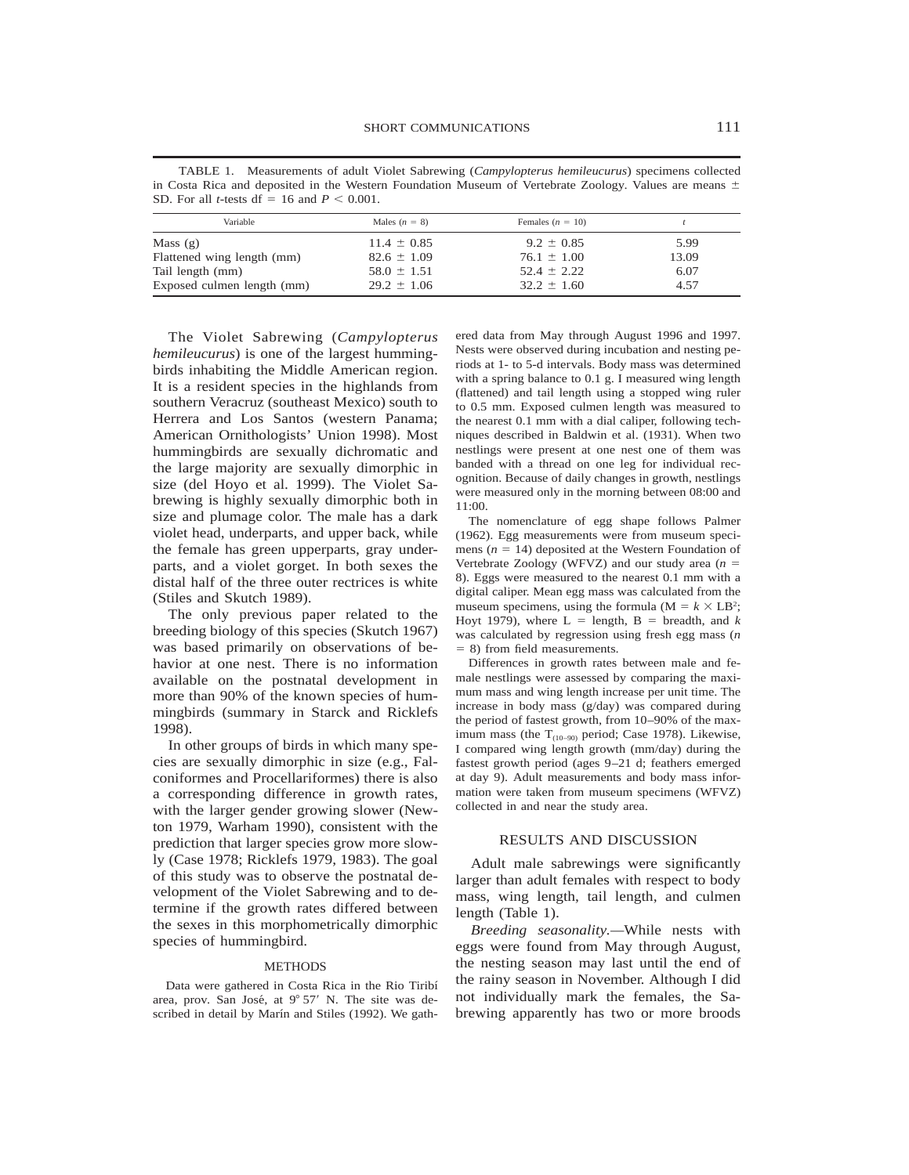4.57

| SD. For all <i>t</i> -tests df = 16 and $P \le 0.001$ . |                 |                    |       |  |
|---------------------------------------------------------|-----------------|--------------------|-------|--|
| Variable                                                | Males $(n = 8)$ | Females $(n = 10)$ |       |  |
| Mass $(g)$                                              | $11.4 \pm 0.85$ | $9.2 \pm 0.85$     | 5.99  |  |
| Flattened wing length (mm)                              | $82.6 \pm 1.09$ | $76.1 \pm 1.00$    | 13.09 |  |
| Tail length (mm)                                        | $58.0 \pm 1.51$ | $52.4 \pm 2.22$    | 6.07  |  |

 $29.2 \pm 1.06$ 

TABLE 1. Measurements of adult Violet Sabrewing (*Campylopterus hemileucurus*) specimens collected in Costa Rica and deposited in the Western Foundation Museum of Vertebrate Zoology. Values are means  $\pm$ SD. For all *t*-tests df = 16 and  $P < 0.001$ .

The Violet Sabrewing (*Campylopterus hemileucurus*) is one of the largest hummingbirds inhabiting the Middle American region. It is a resident species in the highlands from southern Veracruz (southeast Mexico) south to Herrera and Los Santos (western Panama; American Ornithologists' Union 1998). Most hummingbirds are sexually dichromatic and the large majority are sexually dimorphic in size (del Hoyo et al. 1999). The Violet Sabrewing is highly sexually dimorphic both in size and plumage color. The male has a dark violet head, underparts, and upper back, while the female has green upperparts, gray underparts, and a violet gorget. In both sexes the distal half of the three outer rectrices is white (Stiles and Skutch 1989).

Exposed culmen length (mm)

The only previous paper related to the breeding biology of this species (Skutch 1967) was based primarily on observations of behavior at one nest. There is no information available on the postnatal development in more than 90% of the known species of hummingbirds (summary in Starck and Ricklefs 1998).

In other groups of birds in which many species are sexually dimorphic in size (e.g., Falconiformes and Procellariformes) there is also a corresponding difference in growth rates, with the larger gender growing slower (Newton 1979, Warham 1990), consistent with the prediction that larger species grow more slowly (Case 1978; Ricklefs 1979, 1983). The goal of this study was to observe the postnatal development of the Violet Sabrewing and to determine if the growth rates differed between the sexes in this morphometrically dimorphic species of hummingbird.

## METHODS

Data were gathered in Costa Rica in the Rio Tiribı´ area, prov. San José, at  $9^{\circ}$  57' N. The site was described in detail by Marín and Stiles (1992). We gathered data from May through August 1996 and 1997. Nests were observed during incubation and nesting periods at 1- to 5-d intervals. Body mass was determined with a spring balance to 0.1 g. I measured wing length (flattened) and tail length using a stopped wing ruler to 0.5 mm. Exposed culmen length was measured to the nearest 0.1 mm with a dial caliper, following techniques described in Baldwin et al. (1931). When two nestlings were present at one nest one of them was banded with a thread on one leg for individual recognition. Because of daily changes in growth, nestlings were measured only in the morning between 08:00 and 11:00.

 $32.2 \pm 1.60$ 

The nomenclature of egg shape follows Palmer (1962). Egg measurements were from museum specimens  $(n = 14)$  deposited at the Western Foundation of Vertebrate Zoology (WFVZ) and our study area  $(n =$ 8). Eggs were measured to the nearest 0.1 mm with a digital caliper. Mean egg mass was calculated from the museum specimens, using the formula ( $M = k \times LB^2$ ; Hoyt 1979), where  $L =$  length,  $B =$  breadth, and  $k$ was calculated by regression using fresh egg mass (*n*  $= 8$ ) from field measurements.

Differences in growth rates between male and female nestlings were assessed by comparing the maximum mass and wing length increase per unit time. The increase in body mass (g/day) was compared during the period of fastest growth, from 10–90% of the maximum mass (the  $T_{(10-90)}$  period; Case 1978). Likewise, I compared wing length growth (mm/day) during the fastest growth period (ages 9–21 d; feathers emerged at day 9). Adult measurements and body mass information were taken from museum specimens (WFVZ) collected in and near the study area.

#### RESULTS AND DISCUSSION

Adult male sabrewings were significantly larger than adult females with respect to body mass, wing length, tail length, and culmen length (Table 1).

*Breeding seasonality.—*While nests with eggs were found from May through August, the nesting season may last until the end of the rainy season in November. Although I did not individually mark the females, the Sabrewing apparently has two or more broods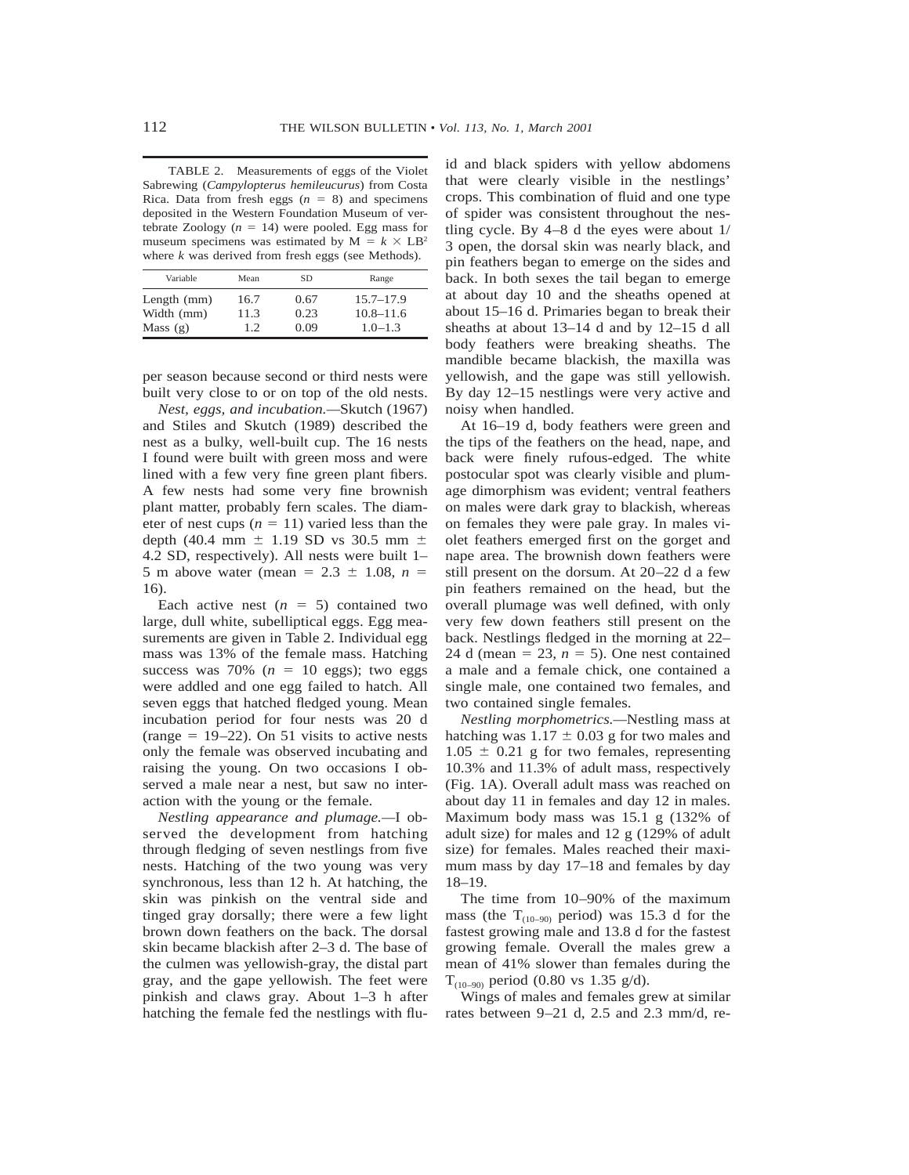TABLE 2. Measurements of eggs of the Violet Sabrewing (*Campylopterus hemileucurus*) from Costa Rica. Data from fresh eggs  $(n = 8)$  and specimens deposited in the Western Foundation Museum of vertebrate Zoology  $(n = 14)$  were pooled. Egg mass for museum specimens was estimated by  $M = k \times LB^2$ where *k* was derived from fresh eggs (see Methods).

| Variable                    | Mean         | SD.          | Range                          |
|-----------------------------|--------------|--------------|--------------------------------|
| Length $(mm)$<br>Width (mm) | 16.7<br>11.3 | 0.67<br>0.23 | $15.7 - 17.9$<br>$10.8 - 11.6$ |
| Mass $(g)$                  | 1.2.         | 0.09         | $1.0 - 1.3$                    |

per season because second or third nests were built very close to or on top of the old nests.

*Nest, eggs, and incubation.—*Skutch (1967) and Stiles and Skutch (1989) described the nest as a bulky, well-built cup. The 16 nests I found were built with green moss and were lined with a few very fine green plant fibers. A few nests had some very fine brownish plant matter, probably fern scales. The diameter of nest cups  $(n = 11)$  varied less than the depth (40.4 mm  $\pm$  1.19 SD vs 30.5 mm  $\pm$ 4.2 SD, respectively). All nests were built 1– 5 m above water (mean =  $2.3 \pm 1.08$ ,  $n =$ 16).

Each active nest  $(n = 5)$  contained two large, dull white, subelliptical eggs. Egg measurements are given in Table 2. Individual egg mass was 13% of the female mass. Hatching success was  $70\%$  ( $n = 10$  eggs); two eggs were addled and one egg failed to hatch. All seven eggs that hatched fledged young. Mean incubation period for four nests was 20 d (range  $= 19-22$ ). On 51 visits to active nests only the female was observed incubating and raising the young. On two occasions I observed a male near a nest, but saw no interaction with the young or the female.

*Nestling appearance and plumage.—*I observed the development from hatching through fledging of seven nestlings from five nests. Hatching of the two young was very synchronous, less than 12 h. At hatching, the skin was pinkish on the ventral side and tinged gray dorsally; there were a few light brown down feathers on the back. The dorsal skin became blackish after 2–3 d. The base of the culmen was yellowish-gray, the distal part gray, and the gape yellowish. The feet were pinkish and claws gray. About 1–3 h after hatching the female fed the nestlings with fluid and black spiders with yellow abdomens that were clearly visible in the nestlings' crops. This combination of fluid and one type of spider was consistent throughout the nestling cycle. By  $4-8$  d the eyes were about  $1/$ 3 open, the dorsal skin was nearly black, and pin feathers began to emerge on the sides and back. In both sexes the tail began to emerge at about day 10 and the sheaths opened at about 15–16 d. Primaries began to break their sheaths at about 13–14 d and by 12–15 d all body feathers were breaking sheaths. The mandible became blackish, the maxilla was yellowish, and the gape was still yellowish. By day 12–15 nestlings were very active and noisy when handled.

At 16–19 d, body feathers were green and the tips of the feathers on the head, nape, and back were finely rufous-edged. The white postocular spot was clearly visible and plumage dimorphism was evident; ventral feathers on males were dark gray to blackish, whereas on females they were pale gray. In males violet feathers emerged first on the gorget and nape area. The brownish down feathers were still present on the dorsum. At 20–22 d a few pin feathers remained on the head, but the overall plumage was well defined, with only very few down feathers still present on the back. Nestlings fledged in the morning at 22– 24 d (mean = 23,  $n = 5$ ). One nest contained a male and a female chick, one contained a single male, one contained two females, and two contained single females.

*Nestling morphometrics.—*Nestling mass at hatching was  $1.17 \pm 0.03$  g for two males and  $1.05 \pm 0.21$  g for two females, representing 10.3% and 11.3% of adult mass, respectively (Fig. 1A). Overall adult mass was reached on about day 11 in females and day 12 in males. Maximum body mass was 15.1 g (132% of adult size) for males and 12 g (129% of adult size) for females. Males reached their maximum mass by day 17–18 and females by day 18–19.

The time from 10–90% of the maximum mass (the  $T_{(10-90)}$  period) was 15.3 d for the fastest growing male and 13.8 d for the fastest growing female. Overall the males grew a mean of 41% slower than females during the  $T_{(10-90)}$  period (0.80 vs 1.35 g/d).

Wings of males and females grew at similar rates between 9–21 d, 2.5 and 2.3 mm/d, re-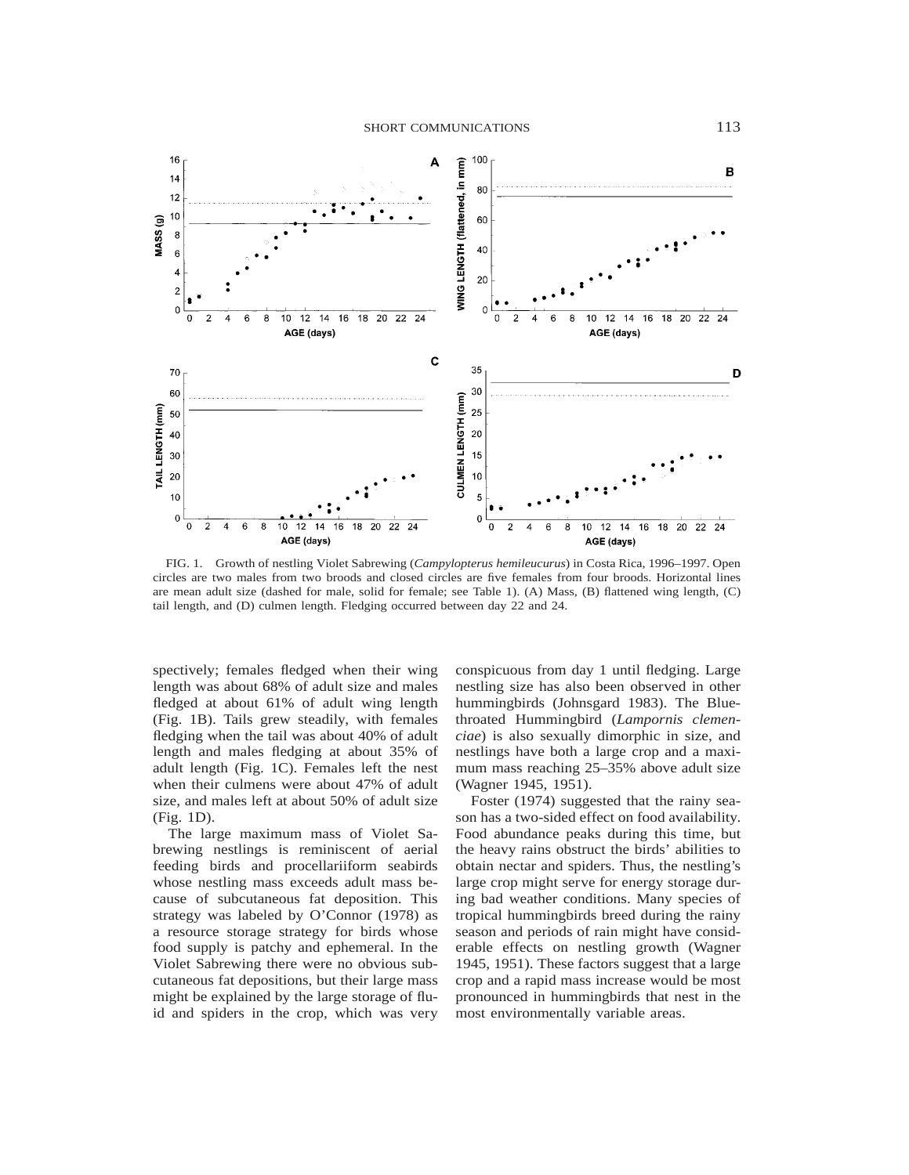

FIG. 1. Growth of nestling Violet Sabrewing (*Campylopterus hemileucurus*) in Costa Rica, 1996–1997. Open circles are two males from two broods and closed circles are five females from four broods. Horizontal lines are mean adult size (dashed for male, solid for female; see Table 1). (A) Mass, (B) flattened wing length, (C) tail length, and (D) culmen length. Fledging occurred between day 22 and 24.

spectively; females fledged when their wing length was about 68% of adult size and males fledged at about 61% of adult wing length (Fig. 1B). Tails grew steadily, with females fledging when the tail was about 40% of adult length and males fledging at about 35% of adult length (Fig. 1C). Females left the nest when their culmens were about 47% of adult size, and males left at about 50% of adult size (Fig. 1D).

The large maximum mass of Violet Sabrewing nestlings is reminiscent of aerial feeding birds and procellariiform seabirds whose nestling mass exceeds adult mass because of subcutaneous fat deposition. This strategy was labeled by O'Connor (1978) as a resource storage strategy for birds whose food supply is patchy and ephemeral. In the Violet Sabrewing there were no obvious subcutaneous fat depositions, but their large mass might be explained by the large storage of fluid and spiders in the crop, which was very

conspicuous from day 1 until fledging. Large nestling size has also been observed in other hummingbirds (Johnsgard 1983). The Bluethroated Hummingbird (*Lampornis clemenciae*) is also sexually dimorphic in size, and nestlings have both a large crop and a maximum mass reaching 25–35% above adult size (Wagner 1945, 1951).

Foster (1974) suggested that the rainy season has a two-sided effect on food availability. Food abundance peaks during this time, but the heavy rains obstruct the birds' abilities to obtain nectar and spiders. Thus, the nestling's large crop might serve for energy storage during bad weather conditions. Many species of tropical hummingbirds breed during the rainy season and periods of rain might have considerable effects on nestling growth (Wagner 1945, 1951). These factors suggest that a large crop and a rapid mass increase would be most pronounced in hummingbirds that nest in the most environmentally variable areas.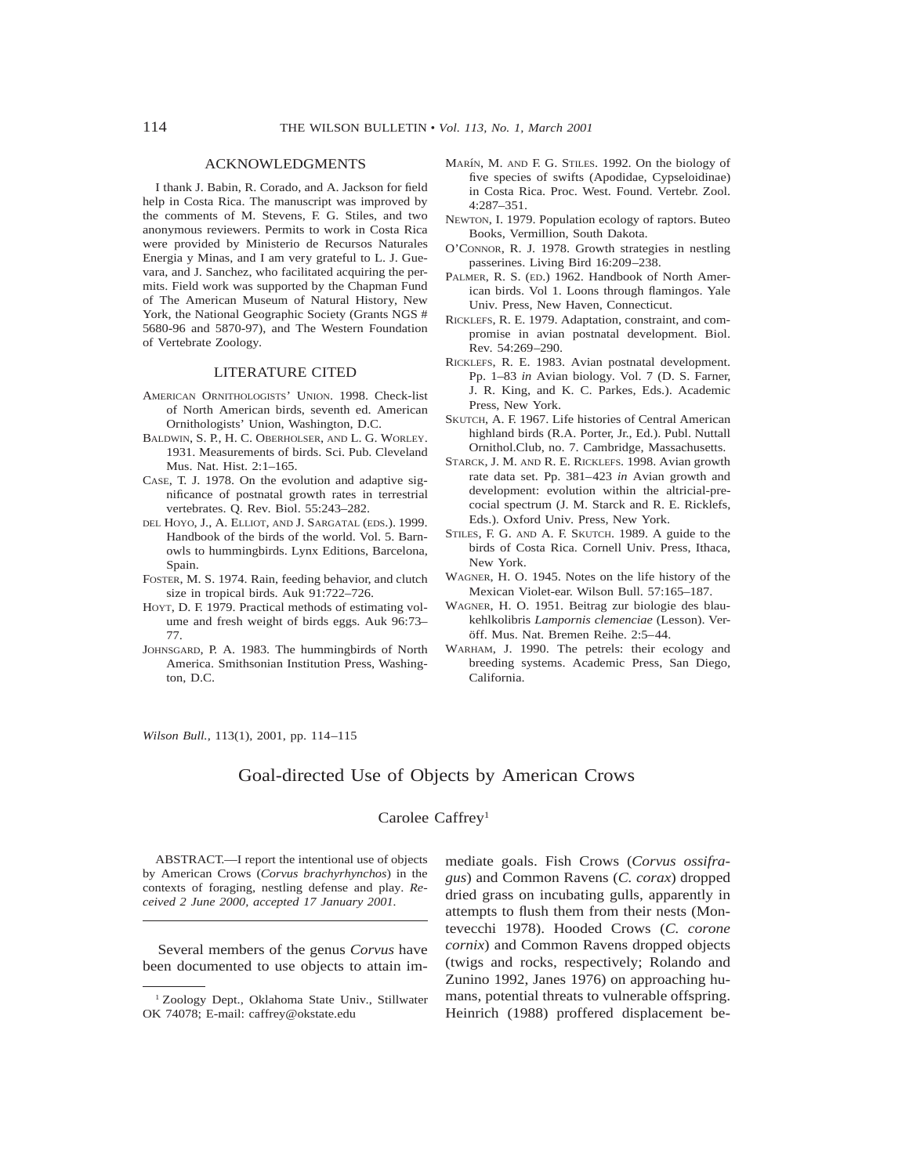### ACKNOWLEDGMENTS

I thank J. Babin, R. Corado, and A. Jackson for field help in Costa Rica. The manuscript was improved by the comments of M. Stevens, F. G. Stiles, and two anonymous reviewers. Permits to work in Costa Rica were provided by Ministerio de Recursos Naturales Energia y Minas, and I am very grateful to L. J. Guevara, and J. Sanchez, who facilitated acquiring the permits. Field work was supported by the Chapman Fund of The American Museum of Natural History, New York, the National Geographic Society (Grants NGS # 5680-96 and 5870-97), and The Western Foundation of Vertebrate Zoology.

#### LITERATURE CITED

- AMERICAN ORNITHOLOGISTS' UNION. 1998. Check-list of North American birds, seventh ed. American Ornithologists' Union, Washington, D.C.
- BALDWIN, S. P., H. C. OBERHOLSER, AND L. G. WORLEY. 1931. Measurements of birds. Sci. Pub. Cleveland Mus. Nat. Hist. 2:1–165.
- CASE, T. J. 1978. On the evolution and adaptive significance of postnatal growth rates in terrestrial vertebrates. Q. Rev. Biol. 55:243–282.
- DEL HOYO, J., A. ELLIOT, AND J. SARGATAL (EDS.). 1999. Handbook of the birds of the world. Vol. 5. Barnowls to hummingbirds. Lynx Editions, Barcelona, Spain.
- FOSTER, M. S. 1974. Rain, feeding behavior, and clutch size in tropical birds. Auk 91:722–726.
- HOYT, D. F. 1979. Practical methods of estimating volume and fresh weight of birds eggs. Auk 96:73– 77.
- JOHNSGARD, P. A. 1983. The hummingbirds of North America. Smithsonian Institution Press, Washington, D.C.
- MARÍN, M. AND F. G. STILES. 1992. On the biology of five species of swifts (Apodidae, Cypseloidinae) in Costa Rica. Proc. West. Found. Vertebr. Zool. 4:287–351.
- NEWTON, I. 1979. Population ecology of raptors. Buteo Books, Vermillion, South Dakota.
- O'CONNOR, R. J. 1978. Growth strategies in nestling passerines. Living Bird 16:209–238.
- PALMER, R. S. (ED.) 1962. Handbook of North American birds. Vol 1. Loons through flamingos. Yale Univ. Press, New Haven, Connecticut.
- RICKLEFS, R. E. 1979. Adaptation, constraint, and compromise in avian postnatal development. Biol. Rev. 54:269–290.
- RICKLEFS, R. E. 1983. Avian postnatal development. Pp. 1–83 *in* Avian biology. Vol. 7 (D. S. Farner, J. R. King, and K. C. Parkes, Eds.). Academic Press, New York.
- SKUTCH, A. F. 1967. Life histories of Central American highland birds (R.A. Porter, Jr., Ed.). Publ. Nuttall Ornithol.Club, no. 7. Cambridge, Massachusetts.
- STARCK, J. M. AND R. E. RICKLEFS. 1998. Avian growth rate data set. Pp. 381–423 *in* Avian growth and development: evolution within the altricial-precocial spectrum (J. M. Starck and R. E. Ricklefs, Eds.). Oxford Univ. Press, New York.
- STILES, F. G. AND A. F. SKUTCH. 1989. A guide to the birds of Costa Rica. Cornell Univ. Press, Ithaca, New York.
- WAGNER, H. O. 1945. Notes on the life history of the Mexican Violet-ear. Wilson Bull. 57:165–187.
- WAGNER, H. O. 1951. Beitrag zur biologie des blaukehlkolibris *Lampornis clemenciae* (Lesson). Veröff. Mus. Nat. Bremen Reihe. 2:5-44.
- WARHAM, J. 1990. The petrels: their ecology and breeding systems. Academic Press, San Diego, California.

*Wilson Bull.,* 113(1), 2001, pp. 114–115

## Goal-directed Use of Objects by American Crows

## Carolee Caffrey1

ABSTRACT.—I report the intentional use of objects by American Crows (*Corvus brachyrhynchos*) in the contexts of foraging, nestling defense and play. *Received 2 June 2000, accepted 17 January 2001.*

Several members of the genus *Corvus* have been documented to use objects to attain im-

mediate goals. Fish Crows (*Corvus ossifragus*) and Common Ravens (*C. corax*) dropped dried grass on incubating gulls, apparently in attempts to flush them from their nests (Montevecchi 1978). Hooded Crows (*C. corone cornix*) and Common Ravens dropped objects (twigs and rocks, respectively; Rolando and Zunino 1992, Janes 1976) on approaching humans, potential threats to vulnerable offspring. Heinrich (1988) proffered displacement be-

<sup>&</sup>lt;sup>1</sup> Zoology Dept., Oklahoma State Univ., Stillwater OK 74078; E-mail: caffrey@okstate.edu